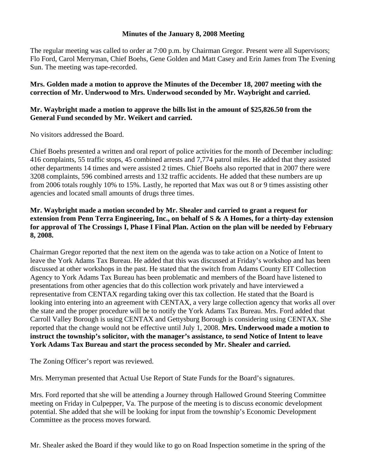## **Minutes of the January 8, 2008 Meeting**

The regular meeting was called to order at 7:00 p.m. by Chairman Gregor. Present were all Supervisors; Flo Ford, Carol Merryman, Chief Boehs, Gene Golden and Matt Casey and Erin James from The Evening Sun. The meeting was tape-recorded.

**Mrs. Golden made a motion to approve the Minutes of the December 18, 2007 meeting with the correction of Mr. Underwood to Mrs. Underwood seconded by Mr. Waybright and carried.** 

## **Mr. Waybright made a motion to approve the bills list in the amount of \$25,826.50 from the General Fund seconded by Mr. Weikert and carried.**

No visitors addressed the Board.

Chief Boehs presented a written and oral report of police activities for the month of December including: 416 complaints, 55 traffic stops, 45 combined arrests and 7,774 patrol miles. He added that they assisted other departments 14 times and were assisted 2 times. Chief Boehs also reported that in 2007 there were 3208 complaints, 596 combined arrests and 132 traffic accidents. He added that these numbers are up from 2006 totals roughly 10% to 15%. Lastly, he reported that Max was out 8 or 9 times assisting other agencies and located small amounts of drugs three times.

## **Mr. Waybright made a motion seconded by Mr. Shealer and carried to grant a request for extension from Penn Terra Engineering, Inc., on behalf of S & A Homes, for a thirty-day extension for approval of The Crossings I, Phase I Final Plan. Action on the plan will be needed by February 8, 2008.**

Chairman Gregor reported that the next item on the agenda was to take action on a Notice of Intent to leave the York Adams Tax Bureau. He added that this was discussed at Friday's workshop and has been discussed at other workshops in the past. He stated that the switch from Adams County EIT Collection Agency to York Adams Tax Bureau has been problematic and members of the Board have listened to presentations from other agencies that do this collection work privately and have interviewed a representative from CENTAX regarding taking over this tax collection. He stated that the Board is looking into entering into an agreement with CENTAX, a very large collection agency that works all over the state and the proper procedure will be to notify the York Adams Tax Bureau. Mrs. Ford added that Carroll Valley Borough is using CENTAX and Gettysburg Borough is considering using CENTAX. She reported that the change would not be effective until July 1, 2008. **Mrs. Underwood made a motion to instruct the township's solicitor, with the manager's assistance, to send Notice of Intent to leave York Adams Tax Bureau and start the process seconded by Mr. Shealer and carried.** 

The Zoning Officer's report was reviewed.

Mrs. Merryman presented that Actual Use Report of State Funds for the Board's signatures.

Mrs. Ford reported that she will be attending a Journey through Hallowed Ground Steering Committee meeting on Friday in Culpepper, Va. The purpose of the meeting is to discuss economic development potential. She added that she will be looking for input from the township's Economic Development Committee as the process moves forward.

Mr. Shealer asked the Board if they would like to go on Road Inspection sometime in the spring of the